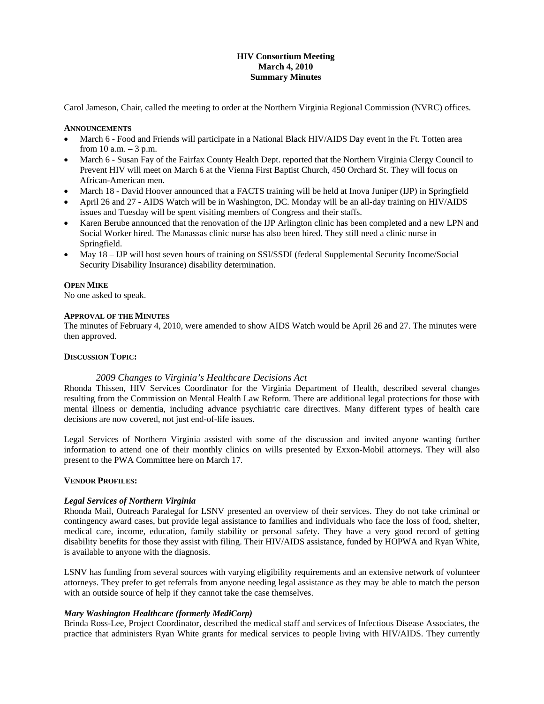# **HIV Consortium Meeting March 4, 2010 Summary Minutes**

Carol Jameson, Chair, called the meeting to order at the Northern Virginia Regional Commission (NVRC) offices.

### **ANNOUNCEMENTS**

- March 6 Food and Friends will participate in a National Black HIV/AIDS Day event in the Ft. Totten area from  $10$  a.m.  $-3$  p.m.
- March 6 Susan Fay of the Fairfax County Health Dept. reported that the Northern Virginia Clergy Council to Prevent HIV will meet on March 6 at the Vienna First Baptist Church, 450 Orchard St. They will focus on African-American men.
- March 18 David Hoover announced that a FACTS training will be held at Inova Juniper (IJP) in Springfield
- April 26 and 27 AIDS Watch will be in Washington, DC. Monday will be an all-day training on HIV/AIDS issues and Tuesday will be spent visiting members of Congress and their staffs.
- Karen Berube announced that the renovation of the IJP Arlington clinic has been completed and a new LPN and Social Worker hired. The Manassas clinic nurse has also been hired. They still need a clinic nurse in Springfield.
- May 18 IJP will host seven hours of training on SSI/SSDI (federal Supplemental Security Income/Social Security Disability Insurance) disability determination.

# **OPEN MIKE**

No one asked to speak.

### **APPROVAL OF THE MINUTES**

The minutes of February 4, 2010, were amended to show AIDS Watch would be April 26 and 27. The minutes were then approved.

### **DISCUSSION TOPIC:**

# *2009 Changes to Virginia's Healthcare Decisions Act*

Rhonda Thissen, HIV Services Coordinator for the Virginia Department of Health, described several changes resulting from the Commission on Mental Health Law Reform. There are additional legal protections for those with mental illness or dementia, including advance psychiatric care directives. Many different types of health care decisions are now covered, not just end-of-life issues.

Legal Services of Northern Virginia assisted with some of the discussion and invited anyone wanting further information to attend one of their monthly clinics on wills presented by Exxon-Mobil attorneys. They will also present to the PWA Committee here on March 17.

#### **VENDOR PROFILES:**

#### *Legal Services of Northern Virginia*

Rhonda Mail, Outreach Paralegal for LSNV presented an overview of their services. They do not take criminal or contingency award cases, but provide legal assistance to families and individuals who face the loss of food, shelter, medical care, income, education, family stability or personal safety. They have a very good record of getting disability benefits for those they assist with filing. Their HIV/AIDS assistance, funded by HOPWA and Ryan White, is available to anyone with the diagnosis.

LSNV has funding from several sources with varying eligibility requirements and an extensive network of volunteer attorneys. They prefer to get referrals from anyone needing legal assistance as they may be able to match the person with an outside source of help if they cannot take the case themselves.

# *Mary Washington Healthcare (formerly MediCorp)*

Brinda Ross-Lee, Project Coordinator, described the medical staff and services of Infectious Disease Associates, the practice that administers Ryan White grants for medical services to people living with HIV/AIDS. They currently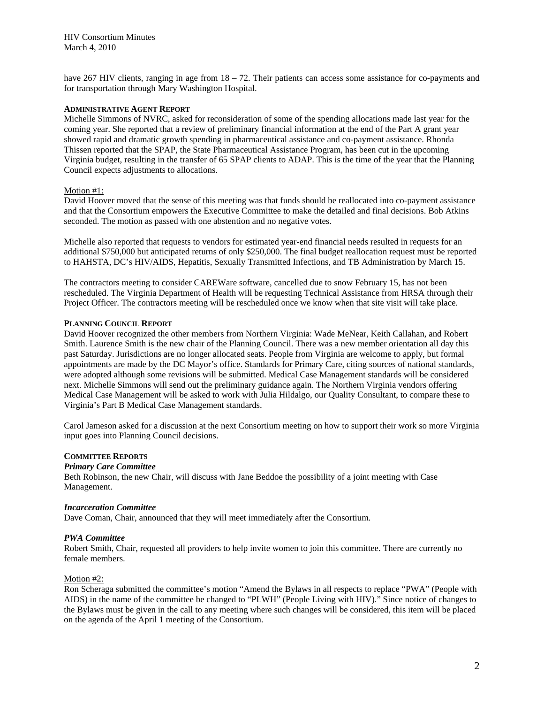have 267 HIV clients, ranging in age from  $18 - 72$ . Their patients can access some assistance for co-payments and for transportation through Mary Washington Hospital.

### **ADMINISTRATIVE AGENT REPORT**

Michelle Simmons of NVRC, asked for reconsideration of some of the spending allocations made last year for the coming year. She reported that a review of preliminary financial information at the end of the Part A grant year showed rapid and dramatic growth spending in pharmaceutical assistance and co-payment assistance. Rhonda Thissen reported that the SPAP, the State Pharmaceutical Assistance Program, has been cut in the upcoming Virginia budget, resulting in the transfer of 65 SPAP clients to ADAP. This is the time of the year that the Planning Council expects adjustments to allocations.

# Motion #1:

David Hoover moved that the sense of this meeting was that funds should be reallocated into co-payment assistance and that the Consortium empowers the Executive Committee to make the detailed and final decisions. Bob Atkins seconded. The motion as passed with one abstention and no negative votes.

Michelle also reported that requests to vendors for estimated year-end financial needs resulted in requests for an additional \$750,000 but anticipated returns of only \$250,000. The final budget reallocation request must be reported to HAHSTA, DC's HIV/AIDS, Hepatitis, Sexually Transmitted Infections, and TB Administration by March 15.

The contractors meeting to consider CAREWare software, cancelled due to snow February 15, has not been rescheduled. The Virginia Department of Health will be requesting Technical Assistance from HRSA through their Project Officer. The contractors meeting will be rescheduled once we know when that site visit will take place.

### **PLANNING COUNCIL REPORT**

David Hoover recognized the other members from Northern Virginia: Wade MeNear, Keith Callahan, and Robert Smith. Laurence Smith is the new chair of the Planning Council. There was a new member orientation all day this past Saturday. Jurisdictions are no longer allocated seats. People from Virginia are welcome to apply, but formal appointments are made by the DC Mayor's office. Standards for Primary Care, citing sources of national standards, were adopted although some revisions will be submitted. Medical Case Management standards will be considered next. Michelle Simmons will send out the preliminary guidance again. The Northern Virginia vendors offering Medical Case Management will be asked to work with Julia Hildalgo, our Quality Consultant, to compare these to Virginia's Part B Medical Case Management standards.

Carol Jameson asked for a discussion at the next Consortium meeting on how to support their work so more Virginia input goes into Planning Council decisions.

# **COMMITTEE REPORTS**

#### *Primary Care Committee*

Beth Robinson, the new Chair, will discuss with Jane Beddoe the possibility of a joint meeting with Case Management.

#### *Incarceration Committee*

Dave Coman, Chair, announced that they will meet immediately after the Consortium.

### *PWA Committee*

Robert Smith, Chair, requested all providers to help invite women to join this committee. There are currently no female members.

#### Motion #2:

Ron Scheraga submitted the committee's motion "Amend the Bylaws in all respects to replace "PWA" (People with AIDS) in the name of the committee be changed to "PLWH" (People Living with HIV)." Since notice of changes to the Bylaws must be given in the call to any meeting where such changes will be considered, this item will be placed on the agenda of the April 1 meeting of the Consortium.